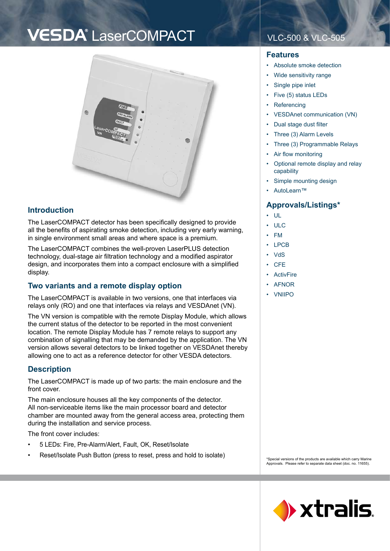## VESDA<sup>®</sup> LaserCOMPACT VLC-500 & VLC-505



#### **Introduction**

The LaserCOMPACT detector has been specifically designed to provide all the benefits of aspirating smoke detection, including very early warning, in single environment small areas and where space is a premium.

The LaserCOMPACT combines the well-proven LaserPLUS detection technology, dual-stage air filtration technology and a modified aspirator design, and incorporates them into a compact enclosure with a simplified display.

## **Two variants and a remote display option**

The LaserCOMPACT is available in two versions, one that interfaces via relays only (RO) and one that interfaces via relays and VESDAnet (VN).

The VN version is compatible with the remote Display Module, which allows the current status of the detector to be reported in the most convenient location. The remote Display Module has 7 remote relays to support any combination of signalling that may be demanded by the application. The VN version allows several detectors to be linked together on VESDAnet thereby allowing one to act as a reference detector for other VESDA detectors.

## **Description**

The LaserCOMPACT is made up of two parts: the main enclosure and the front cover.

The main enclosure houses all the key components of the detector. All non-serviceable items like the main processor board and detector chamber are mounted away from the general access area, protecting them during the installation and service process.

The front cover includes:

- 5 LEDs: Fire, Pre-Alarm/Alert, Fault, OK, Reset/Isolate •
- Reset/Isolate Push Button (press to reset, press and hold to isolate) •

#### **Features**

- Absolute smoke detection •
- Wide sensitivity range •
- Single pipe inlet •
- Five (5) status LEDs •
- **Referencing** •
- VESDAnet communication (VN) •
- Dual stage dust filter •
- Three (3) Alarm Levels •
- Three (3) Programmable Relays •
- Air flow monitoring •
- Optional remote display and relay capability •
- Simple mounting design •
- AutoLearn™ •

## **Approvals/Listings\***

- UL •
- ULC •
- FM •
- LPCB •
- VdS •
- **CFE** •
- **ActivFire** •
- AFNOR •
- VNIIPO •

\*Special versions of the products are available which carry Marine Approvals. Please refer to separate data sheet (doc. no. 11655).